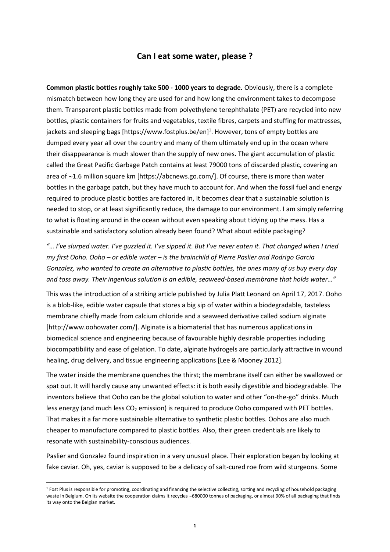## **Can I eat some water, please ?**

**Common plastic bottles roughly take 500 - 1000 years to degrade.** Obviously, there is a complete mismatch between how long they are used for and how long the environment takes to decompose them. Transparent plastic bottles made from polyethylene terephthalate (PET) are recycled into new bottles, plastic containers for fruits and vegetables, textile fibres, carpets and stuffing for mattresses, jackets and sleeping bags [https://www.fostplus.be/en]<sup>1</sup>. However, tons of empty bottles are dumped every year all over the country and many of them ultimately end up in the ocean where their disappearance is much slower than the supply of new ones. The giant accumulation of plastic called the Great Pacific Garbage Patch contains at least 79000 tons of discarded plastic, covering an area of  $\sim$ 1.6 million square km [https://abcnews.go.com/]. Of course, there is more than water bottles in the garbage patch, but they have much to account for. And when the fossil fuel and energy required to produce plastic bottles are factored in, it becomes clear that a sustainable solution is needed to stop, or at least significantly reduce, the damage to our environment. I am simply referring to what is floating around in the ocean without even speaking about tidying up the mess. Has a sustainable and satisfactory solution already been found? What about edible packaging?

*"… I've slurped water. I've guzzled it. I've sipped it. But I've never eaten it. That changed when I tried my first Ooho. Ooho – or edible water – is the brainchild of Pierre Paslier and Rodrigo Garcia Gonzalez, who wanted to create an alternative to plastic bottles, the ones many of us buy every day and toss away. Their ingenious solution is an edible, seaweed-based membrane that holds water…"*

This was the introduction of a striking article published by Julia Platt Leonard on April 17, 2017. Ooho is a blob-like, edible water capsule that stores a big sip of water within a biodegradable, tasteless membrane chiefly made from calcium chloride and a seaweed derivative called sodium alginate [http://www.oohowater.com/]. Alginate is a biomaterial that has numerous applications in biomedical science and engineering because of favourable highly desirable properties including biocompatibility and ease of gelation. To date, alginate hydrogels are particularly attractive in wound healing, drug delivery, and tissue engineering applications [Lee & Mooney 2012].

The water inside the membrane quenches the thirst; the membrane itself can either be swallowed or spat out. It will hardly cause any unwanted effects: it is both easily digestible and biodegradable. The inventors believe that Ooho can be the global solution to water and other "on-the-go" drinks. Much less energy (and much less  $CO<sub>2</sub>$  emission) is required to produce Ooho compared with PET bottles. That makes it a far more sustainable alternative to synthetic plastic bottles. Oohos are also much cheaper to manufacture compared to plastic bottles. Also, their green credentials are likely to resonate with sustainability-conscious audiences.

Paslier and Gonzalez found inspiration in a very unusual place. Their exploration began by looking at fake caviar. Oh, yes, caviar is supposed to be a delicacy of salt-cured roe from wild sturgeons. Some

 $\overline{a}$ 

 $1$  Fost Plus is responsible for promoting, coordinating and financing the selective collecting, sorting and recycling of household packaging waste in Belgium. On its website the cooperation claims it recycles ~680000 tonnes of packaging, or almost 90% of all packaging that finds its way onto the Belgian market.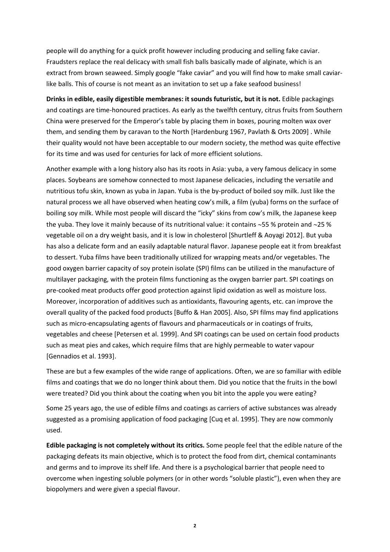people will do anything for a quick profit however including producing and selling fake caviar. Fraudsters replace the real delicacy with small fish balls basically made of alginate, which is an extract from brown seaweed. Simply google "fake caviar" and you will find how to make small caviarlike balls. This of course is not meant as an invitation to set up a fake seafood business!

**Drinks in edible, easily digestible membranes: it sounds futuristic, but it is not.** Edible packagings and coatings are time-honoured practices. As early as the twelfth century, citrus fruits from Southern China were preserved for the Emperor's table by placing them in boxes, pouring molten wax over them, and sending them by caravan to the North [Hardenburg 1967, Pavlath & Orts 2009] . While their quality would not have been acceptable to our modern society, the method was quite effective for its time and was used for centuries for lack of more efficient solutions.

Another example with a long history also has its roots in Asia: yuba, a very famous delicacy in some places. Soybeans are somehow connected to most Japanese delicacies, including the versatile and nutritious tofu skin, known as yuba in Japan. Yuba is the by-product of boiled soy milk. Just like the natural process we all have observed when heating cow's milk, a film (yuba) forms on the surface of boiling soy milk. While most people will discard the "icky" skins from cow's milk, the Japanese keep the yuba. They love it mainly because of its nutritional value: it contains  $~55$  % protein and  $~25$  % vegetable oil on a dry weight basis, and it is low in cholesterol [Shurtleff & Aoyagi 2012]. But yuba has also a delicate form and an easily adaptable natural flavor. Japanese people eat it from breakfast to dessert. Yuba films have been traditionally utilized for wrapping meats and/or vegetables. The good oxygen barrier capacity of soy protein isolate (SPI) films can be utilized in the manufacture of multilayer packaging, with the protein films functioning as the oxygen barrier part. SPI coatings on pre-cooked meat products offer good protection against lipid oxidation as well as moisture loss. Moreover, incorporation of additives such as antioxidants, flavouring agents, etc. can improve the overall quality of the packed food products [Buffo & Han 2005]. Also, SPI films may find applications such as micro-encapsulating agents of flavours and pharmaceuticals or in coatings of fruits, vegetables and cheese [Petersen et al. 1999]. And SPI coatings can be used on certain food products such as meat pies and cakes, which require films that are highly permeable to water vapour [Gennadios et al. 1993].

These are but a few examples of the wide range of applications. Often, we are so familiar with edible films and coatings that we do no longer think about them. Did you notice that the fruits in the bowl were treated? Did you think about the coating when you bit into the apple you were eating?

Some 25 years ago, the use of edible films and coatings as carriers of active substances was already suggested as a promising application of food packaging [Cuq et al. 1995]. They are now commonly used.

**Edible packaging is not completely without its critics.** Some people feel that the edible nature of the packaging defeats its main objective, which is to protect the food from dirt, chemical contaminants and germs and to improve its shelf life. And there is a psychological barrier that people need to overcome when ingesting soluble polymers (or in other words "soluble plastic"), even when they are biopolymers and were given a special flavour.

**2**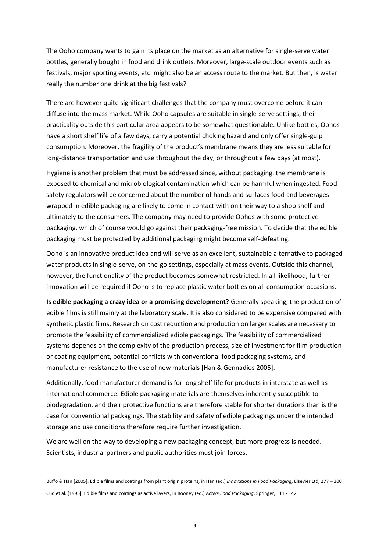The Ooho company wants to gain its place on the market as an alternative for single-serve water bottles, generally bought in food and drink outlets. Moreover, large-scale outdoor events such as festivals, major sporting events, etc. might also be an access route to the market. But then, is water really the number one drink at the big festivals?

There are however quite significant challenges that the company must overcome before it can diffuse into the mass market. While Ooho capsules are suitable in single-serve settings, their practicality outside this particular area appears to be somewhat questionable. Unlike bottles, Oohos have a short shelf life of a few days, carry a potential choking hazard and only offer single-gulp consumption. Moreover, the fragility of the product's membrane means they are less suitable for long-distance transportation and use throughout the day, or throughout a few days (at most).

Hygiene is another problem that must be addressed since, without packaging, the membrane is exposed to chemical and microbiological contamination which can be harmful when ingested. Food safety regulators will be concerned about the number of hands and surfaces food and beverages wrapped in edible packaging are likely to come in contact with on their way to a shop shelf and ultimately to the consumers. The company may need to provide Oohos with some protective packaging, which of course would go against their packaging-free mission. To decide that the edible packaging must be protected by additional packaging might become self-defeating.

Ooho is an innovative product idea and will serve as an excellent, sustainable alternative to packaged water products in single-serve, on-the-go settings, especially at mass events. Outside this channel, however, the functionality of the product becomes somewhat restricted. In all likelihood, further innovation will be required if Ooho is to replace plastic water bottles on all consumption occasions.

**Is edible packaging a crazy idea or a promising development?** Generally speaking, the production of edible films is still mainly at the laboratory scale. It is also considered to be expensive compared with synthetic plastic films. Research on cost reduction and production on larger scales are necessary to promote the feasibility of commercialized edible packagings. The feasibility of commercialized systems depends on the complexity of the production process, size of investment for film production or coating equipment, potential conflicts with conventional food packaging systems, and manufacturer resistance to the use of new materials [Han & Gennadios 2005].

Additionally, food manufacturer demand is for long shelf life for products in interstate as well as international commerce. Edible packaging materials are themselves inherently susceptible to biodegradation, and their protective functions are therefore stable for shorter durations than is the case for conventional packagings. The stability and safety of edible packagings under the intended storage and use conditions therefore require further investigation.

We are well on the way to developing a new packaging concept, but more progress is needed. Scientists, industrial partners and public authorities must join forces.

Buffo & Han [2005]. Edible films and coatings from plant origin proteins, in Han (ed.) *Innovations in Food Packaging*, Elsevier Ltd, 277 – 300 Cuq et al. [1995]. Edible films and coatings as active layers, in Rooney (ed.) *Active Food Packaging*, Springer, 111 - 142